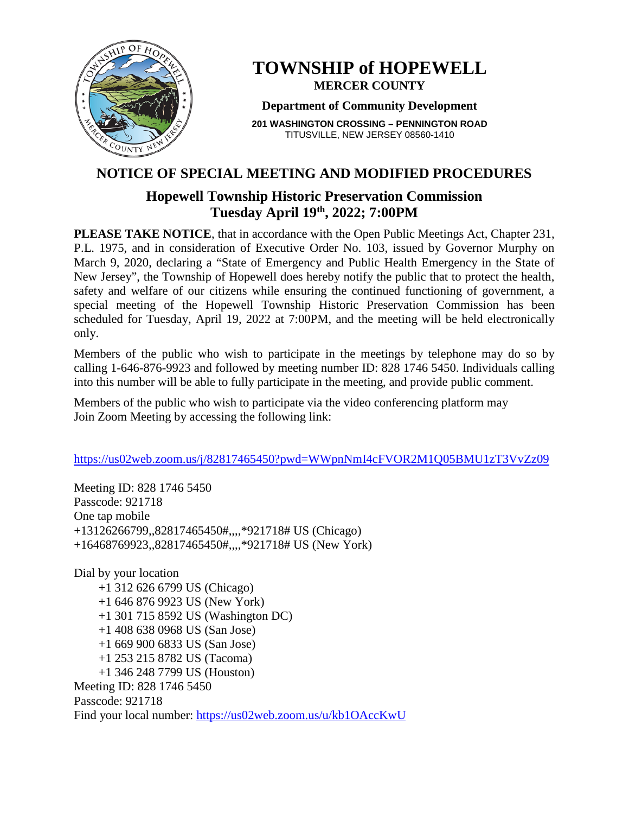

# **TOWNSHIP of HOPEWELL MERCER COUNTY**

#### **Department of Community Development**

**201 WASHINGTON CROSSING – PENNINGTON ROAD** TITUSVILLE, NEW JERSEY 08560-1410

# **NOTICE OF SPECIAL MEETING AND MODIFIED PROCEDURES**

# **Hopewell Township Historic Preservation Commission Tuesday April 19th, 2022; 7:00PM**

**PLEASE TAKE NOTICE**, that in accordance with the Open Public Meetings Act, Chapter 231, P.L. 1975, and in consideration of Executive Order No. 103, issued by Governor Murphy on March 9, 2020, declaring a "State of Emergency and Public Health Emergency in the State of New Jersey", the Township of Hopewell does hereby notify the public that to protect the health, safety and welfare of our citizens while ensuring the continued functioning of government, a special meeting of the Hopewell Township Historic Preservation Commission has been scheduled for Tuesday, April 19, 2022 at 7:00PM, and the meeting will be held electronically only.

Members of the public who wish to participate in the meetings by telephone may do so by calling 1-646-876-9923 and followed by meeting number ID: 828 1746 5450. Individuals calling into this number will be able to fully participate in the meeting, and provide public comment.

Members of the public who wish to participate via the video conferencing platform may Join Zoom Meeting by accessing the following link:

### <https://us02web.zoom.us/j/82817465450?pwd=WWpnNmI4cFVOR2M1Q05BMU1zT3VvZz09>

Meeting ID: 828 1746 5450 Passcode: 921718 One tap mobile +13126266799,,82817465450#,,,,\*921718# US (Chicago) +16468769923,,82817465450#,,,,\*921718# US (New York)

Dial by your location +1 312 626 6799 US (Chicago) +1 646 876 9923 US (New York) +1 301 715 8592 US (Washington DC) +1 408 638 0968 US (San Jose) +1 669 900 6833 US (San Jose) +1 253 215 8782 US (Tacoma) +1 346 248 7799 US (Houston) Meeting ID: 828 1746 5450 Passcode: 921718 Find your local number:<https://us02web.zoom.us/u/kb1OAccKwU>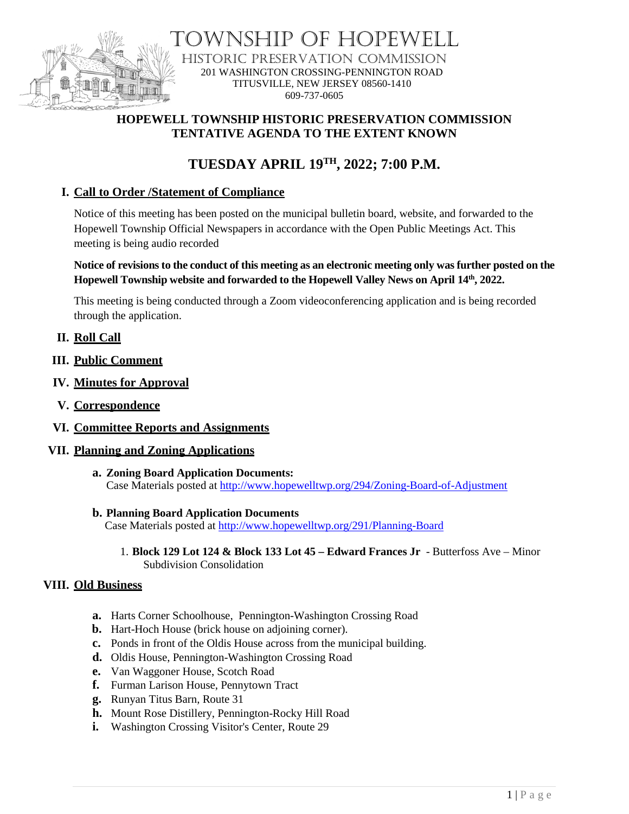

VSHIP OF HOPEWELL HISTORIC PRESERVATION COMMISSION 201 WASHINGTON CROSSING-PENNINGTON ROAD TITUSVILLE, NEW JERSEY 08560-1410 609-737-0605

# **HOPEWELL TOWNSHIP HISTORIC PRESERVATION COMMISSION TENTATIVE AGENDA TO THE EXTENT KNOWN**

# **TUESDAY APRIL 19TH , 2022; 7:00 P.M.**

## **I. Call to Order /Statement of Compliance**

Notice of this meeting has been posted on the municipal bulletin board, website, and forwarded to the Hopewell Township Official Newspapers in accordance with the Open Public Meetings Act. This meeting is being audio recorded

#### **Notice of revisions to the conduct of this meeting as an electronic meeting only was further posted on the Hopewell Township website and forwarded to the Hopewell Valley News on April 14th, 2022.**

This meeting is being conducted through a Zoom videoconferencing application and is being recorded through the application.

### **II. Roll Call**

- **III. Public Comment**
- **IV. Minutes for Approval**
- **V. Correspondence**
- **VI. Committee Reports and Assignments**

#### **VII. Planning and Zoning Applications**

**a. Zoning Board Application Documents:** Case Materials posted at<http://www.hopewelltwp.org/294/Zoning-Board-of-Adjustment>

#### **b. Planning Board Application Documents**

Case Materials posted at <http://www.hopewelltwp.org/291/Planning-Board>

1. **Block 129 Lot 124 & Block 133 Lot 45 – Edward Frances Jr** - Butterfoss Ave – Minor Subdivision Consolidation

#### **VIII. Old Business**

- **a.** Harts Corner Schoolhouse, Pennington-Washington Crossing Road
- **b.** Hart-Hoch House (brick house on adjoining corner).
- **c.** Ponds in front of the Oldis House across from the municipal building.
- **d.** Oldis House, Pennington-Washington Crossing Road
- **e.** Van Waggoner House, Scotch Road
- **f.** Furman Larison House, Pennytown Tract
- **g.** Runyan Titus Barn, Route 31
- **h.** Mount Rose Distillery, Pennington-Rocky Hill Road
- **i.** Washington Crossing Visitor's Center, Route 29